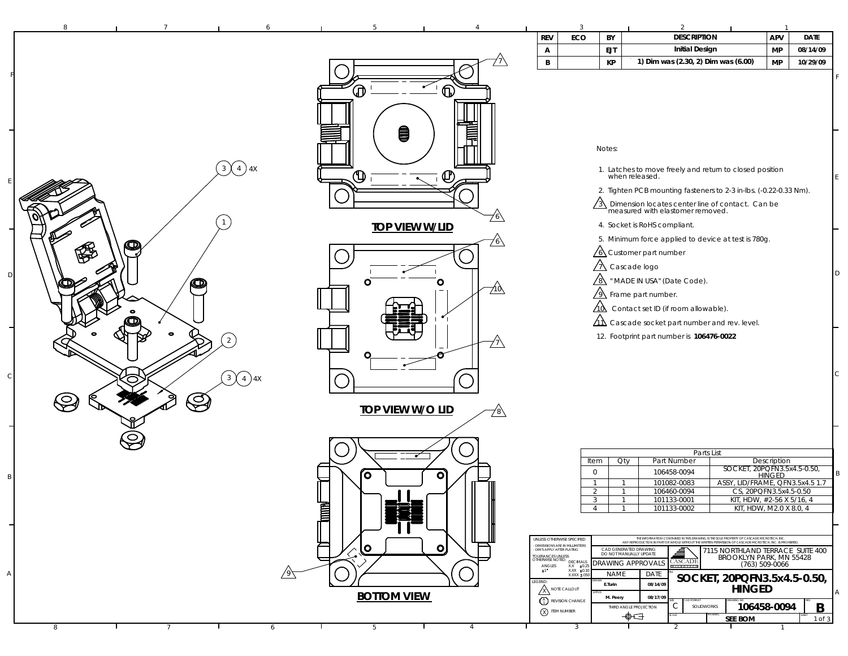| <b>REV</b><br>ECO<br>BY<br>APV<br><b>Initial Design</b><br><b>EJT</b><br><b>MP</b><br>A<br>$\, {\bf B} \,$<br>КP<br>1) Dim was (2.30, 2) Dim was (6.00)<br><b>MP</b><br>$\bigoplus$<br>Ω<br>0<br>Notes:<br>$\left(3\right)$ $\left(4\right)$ 4X<br>1. Latches to move freely and return to closed position<br>⊕<br>when released.<br>⋓<br>2. Tighten PCB mounting fasteners to 2-3 in-lbs. (-0.22-0.33 Nm).<br>$\sqrt{3}$ Dimension locates center line of contact. Can be measured with elastomer removed.<br>4. Socket is RoHS compliant.<br><b>TOP VIEW W/LID</b><br>5. Minimum force applied to device at test is 780g.<br>76<br>$\sqrt{6}$ Customer part number<br>$\sqrt{\Lambda}$ Cascade logo<br>$\sqrt{8}$ " MADE IN USA" (Date Code).<br>O<br>О<br>O<br><u>710,</u><br>$\sqrt{9}$ Frame part number.<br>$\Delta\lambda$ Contact set ID (if room allowable).<br>$\Delta\Lambda$ Cascade socket part number and rev. level.<br>$\bullet$<br>12. Footprint part number is 106476-0022<br>2<br>$\overline{4}$<br>3<br>$\bigotimes$<br>È.<br><b>TOP VIEW W/O LID</b><br>Parts List<br>Item<br>Qty<br>Part Number<br>Description<br>SOCKET, 20PQFN3.5x4.5-0.50,<br>HINGED<br>$\overline{0}$<br>106458-0094<br>íΟ<br>O<br>ASSY, LID/FRAME, QFN3.5x4.5 1.7<br>101082-0083<br>$\overline{1}$<br>$\overline{1}$<br>2<br>106460-0094<br>CS, 20PQFN3.5x4.5-0.50<br>$\overline{3}$<br>101133-0001<br>KIT, HDW, #2-56 X 5/16, 4<br><b>Allege</b><br>101133-0002<br>KIT, HDW, M2.0 X 8.0, 4<br>$\overline{4}$<br>$\overline{1}$<br>THE INFORMATION CONTAINED IN THE DRAWING IS THE SOLE PROPERTY OF CASCADE MICROTECH, INC.<br>ANY REPRODUCTION IN PART OR WHOLE WITHOUT THE WRITTEN PERMISSION OF CASCADE MICROTECH, INC. IS PROHI<br>UNLESS OTHERWISE SPECIFIED<br>- DIMENSIONS ARE IN MILLIMETERS<br>$\bullet$<br>O<br>CAD GENERATED DRAWING<br>DO NOT MANUALLY UPDATE<br>₫<br>7115 NORTHLAND TERRACE SUITE 400<br>- DIM'S APPLY AFTER PLATING<br>TOLERANCES UNLESS<br>OTHERWISE NOTED: DECIMALS<br>BROOKLYN PARK, MN 55428<br><b>CASCADE</b><br>DRAWING APPROVALS<br>(763) 509-0066<br>$\begin{array}{c}\n\text{ANGLES} \\ \pm 1\n\end{array}$<br>$X.X$ $\pm 0.25$<br>$\begin{array}{r}$ X.XX $\pm 0.10 \\$ X.XXX $\pm .056 \end{array}$<br><b>NAME</b><br>DATE<br>SOCKET, 20PQFN3.5x4.5-0.50,<br>EGEND<br>E.Turin<br>08/14/09<br><b>HINGED</b><br><b>X NOTE CALLOUT</b><br><b>BOTTOM VIEW</b><br>08/17/09<br>M. Peery<br>$\binom{A}{1}$ REVISION CHANGE<br>$\mathsf{C}$<br>106458-0094<br>SOLIDWORKS<br>THIRD ANGLE PROJECTION<br>$\left(\overline{\chi}\right)$ item number<br>$\bigoplus$<br><b>SEE BOM</b> | 8 |   |                     | $\overline{3}$ | 2                  |             |
|---------------------------------------------------------------------------------------------------------------------------------------------------------------------------------------------------------------------------------------------------------------------------------------------------------------------------------------------------------------------------------------------------------------------------------------------------------------------------------------------------------------------------------------------------------------------------------------------------------------------------------------------------------------------------------------------------------------------------------------------------------------------------------------------------------------------------------------------------------------------------------------------------------------------------------------------------------------------------------------------------------------------------------------------------------------------------------------------------------------------------------------------------------------------------------------------------------------------------------------------------------------------------------------------------------------------------------------------------------------------------------------------------------------------------------------------------------------------------------------------------------------------------------------------------------------------------------------------------------------------------------------------------------------------------------------------------------------------------------------------------------------------------------------------------------------------------------------------------------------------------------------------------------------------------------------------------------------------------------------------------------------------------------------------------------------------------------------------------------------------------------------------------------------------------------------------------------------------------------------------------------------------------------------------------------------------------------------------------------------------------------------------------------------------------------------------------------------------------------------------------------------------------------------------------------------------------------------------------------------|---|---|---------------------|----------------|--------------------|-------------|
|                                                                                                                                                                                                                                                                                                                                                                                                                                                                                                                                                                                                                                                                                                                                                                                                                                                                                                                                                                                                                                                                                                                                                                                                                                                                                                                                                                                                                                                                                                                                                                                                                                                                                                                                                                                                                                                                                                                                                                                                                                                                                                                                                                                                                                                                                                                                                                                                                                                                                                                                                                                                               |   |   |                     |                | <b>DESCRIPTION</b> | <b>DATE</b> |
|                                                                                                                                                                                                                                                                                                                                                                                                                                                                                                                                                                                                                                                                                                                                                                                                                                                                                                                                                                                                                                                                                                                                                                                                                                                                                                                                                                                                                                                                                                                                                                                                                                                                                                                                                                                                                                                                                                                                                                                                                                                                                                                                                                                                                                                                                                                                                                                                                                                                                                                                                                                                               |   |   |                     |                |                    | 08/14/09    |
|                                                                                                                                                                                                                                                                                                                                                                                                                                                                                                                                                                                                                                                                                                                                                                                                                                                                                                                                                                                                                                                                                                                                                                                                                                                                                                                                                                                                                                                                                                                                                                                                                                                                                                                                                                                                                                                                                                                                                                                                                                                                                                                                                                                                                                                                                                                                                                                                                                                                                                                                                                                                               |   |   |                     |                |                    | 10/29/09    |
|                                                                                                                                                                                                                                                                                                                                                                                                                                                                                                                                                                                                                                                                                                                                                                                                                                                                                                                                                                                                                                                                                                                                                                                                                                                                                                                                                                                                                                                                                                                                                                                                                                                                                                                                                                                                                                                                                                                                                                                                                                                                                                                                                                                                                                                                                                                                                                                                                                                                                                                                                                                                               |   |   |                     |                |                    |             |
|                                                                                                                                                                                                                                                                                                                                                                                                                                                                                                                                                                                                                                                                                                                                                                                                                                                                                                                                                                                                                                                                                                                                                                                                                                                                                                                                                                                                                                                                                                                                                                                                                                                                                                                                                                                                                                                                                                                                                                                                                                                                                                                                                                                                                                                                                                                                                                                                                                                                                                                                                                                                               |   |   |                     |                |                    |             |
|                                                                                                                                                                                                                                                                                                                                                                                                                                                                                                                                                                                                                                                                                                                                                                                                                                                                                                                                                                                                                                                                                                                                                                                                                                                                                                                                                                                                                                                                                                                                                                                                                                                                                                                                                                                                                                                                                                                                                                                                                                                                                                                                                                                                                                                                                                                                                                                                                                                                                                                                                                                                               |   |   |                     |                |                    |             |
|                                                                                                                                                                                                                                                                                                                                                                                                                                                                                                                                                                                                                                                                                                                                                                                                                                                                                                                                                                                                                                                                                                                                                                                                                                                                                                                                                                                                                                                                                                                                                                                                                                                                                                                                                                                                                                                                                                                                                                                                                                                                                                                                                                                                                                                                                                                                                                                                                                                                                                                                                                                                               |   |   |                     |                |                    |             |
|                                                                                                                                                                                                                                                                                                                                                                                                                                                                                                                                                                                                                                                                                                                                                                                                                                                                                                                                                                                                                                                                                                                                                                                                                                                                                                                                                                                                                                                                                                                                                                                                                                                                                                                                                                                                                                                                                                                                                                                                                                                                                                                                                                                                                                                                                                                                                                                                                                                                                                                                                                                                               |   |   |                     |                |                    |             |
|                                                                                                                                                                                                                                                                                                                                                                                                                                                                                                                                                                                                                                                                                                                                                                                                                                                                                                                                                                                                                                                                                                                                                                                                                                                                                                                                                                                                                                                                                                                                                                                                                                                                                                                                                                                                                                                                                                                                                                                                                                                                                                                                                                                                                                                                                                                                                                                                                                                                                                                                                                                                               |   |   |                     |                |                    |             |
|                                                                                                                                                                                                                                                                                                                                                                                                                                                                                                                                                                                                                                                                                                                                                                                                                                                                                                                                                                                                                                                                                                                                                                                                                                                                                                                                                                                                                                                                                                                                                                                                                                                                                                                                                                                                                                                                                                                                                                                                                                                                                                                                                                                                                                                                                                                                                                                                                                                                                                                                                                                                               |   |   |                     |                |                    |             |
|                                                                                                                                                                                                                                                                                                                                                                                                                                                                                                                                                                                                                                                                                                                                                                                                                                                                                                                                                                                                                                                                                                                                                                                                                                                                                                                                                                                                                                                                                                                                                                                                                                                                                                                                                                                                                                                                                                                                                                                                                                                                                                                                                                                                                                                                                                                                                                                                                                                                                                                                                                                                               |   |   |                     |                |                    |             |
|                                                                                                                                                                                                                                                                                                                                                                                                                                                                                                                                                                                                                                                                                                                                                                                                                                                                                                                                                                                                                                                                                                                                                                                                                                                                                                                                                                                                                                                                                                                                                                                                                                                                                                                                                                                                                                                                                                                                                                                                                                                                                                                                                                                                                                                                                                                                                                                                                                                                                                                                                                                                               |   |   |                     |                |                    |             |
|                                                                                                                                                                                                                                                                                                                                                                                                                                                                                                                                                                                                                                                                                                                                                                                                                                                                                                                                                                                                                                                                                                                                                                                                                                                                                                                                                                                                                                                                                                                                                                                                                                                                                                                                                                                                                                                                                                                                                                                                                                                                                                                                                                                                                                                                                                                                                                                                                                                                                                                                                                                                               |   |   |                     |                |                    |             |
|                                                                                                                                                                                                                                                                                                                                                                                                                                                                                                                                                                                                                                                                                                                                                                                                                                                                                                                                                                                                                                                                                                                                                                                                                                                                                                                                                                                                                                                                                                                                                                                                                                                                                                                                                                                                                                                                                                                                                                                                                                                                                                                                                                                                                                                                                                                                                                                                                                                                                                                                                                                                               |   |   |                     |                |                    |             |
|                                                                                                                                                                                                                                                                                                                                                                                                                                                                                                                                                                                                                                                                                                                                                                                                                                                                                                                                                                                                                                                                                                                                                                                                                                                                                                                                                                                                                                                                                                                                                                                                                                                                                                                                                                                                                                                                                                                                                                                                                                                                                                                                                                                                                                                                                                                                                                                                                                                                                                                                                                                                               |   |   |                     |                |                    |             |
|                                                                                                                                                                                                                                                                                                                                                                                                                                                                                                                                                                                                                                                                                                                                                                                                                                                                                                                                                                                                                                                                                                                                                                                                                                                                                                                                                                                                                                                                                                                                                                                                                                                                                                                                                                                                                                                                                                                                                                                                                                                                                                                                                                                                                                                                                                                                                                                                                                                                                                                                                                                                               |   |   |                     |                |                    |             |
|                                                                                                                                                                                                                                                                                                                                                                                                                                                                                                                                                                                                                                                                                                                                                                                                                                                                                                                                                                                                                                                                                                                                                                                                                                                                                                                                                                                                                                                                                                                                                                                                                                                                                                                                                                                                                                                                                                                                                                                                                                                                                                                                                                                                                                                                                                                                                                                                                                                                                                                                                                                                               |   |   |                     |                |                    |             |
|                                                                                                                                                                                                                                                                                                                                                                                                                                                                                                                                                                                                                                                                                                                                                                                                                                                                                                                                                                                                                                                                                                                                                                                                                                                                                                                                                                                                                                                                                                                                                                                                                                                                                                                                                                                                                                                                                                                                                                                                                                                                                                                                                                                                                                                                                                                                                                                                                                                                                                                                                                                                               |   |   |                     |                |                    |             |
|                                                                                                                                                                                                                                                                                                                                                                                                                                                                                                                                                                                                                                                                                                                                                                                                                                                                                                                                                                                                                                                                                                                                                                                                                                                                                                                                                                                                                                                                                                                                                                                                                                                                                                                                                                                                                                                                                                                                                                                                                                                                                                                                                                                                                                                                                                                                                                                                                                                                                                                                                                                                               |   |   |                     |                |                    |             |
|                                                                                                                                                                                                                                                                                                                                                                                                                                                                                                                                                                                                                                                                                                                                                                                                                                                                                                                                                                                                                                                                                                                                                                                                                                                                                                                                                                                                                                                                                                                                                                                                                                                                                                                                                                                                                                                                                                                                                                                                                                                                                                                                                                                                                                                                                                                                                                                                                                                                                                                                                                                                               |   |   |                     |                |                    |             |
|                                                                                                                                                                                                                                                                                                                                                                                                                                                                                                                                                                                                                                                                                                                                                                                                                                                                                                                                                                                                                                                                                                                                                                                                                                                                                                                                                                                                                                                                                                                                                                                                                                                                                                                                                                                                                                                                                                                                                                                                                                                                                                                                                                                                                                                                                                                                                                                                                                                                                                                                                                                                               |   |   |                     |                |                    |             |
|                                                                                                                                                                                                                                                                                                                                                                                                                                                                                                                                                                                                                                                                                                                                                                                                                                                                                                                                                                                                                                                                                                                                                                                                                                                                                                                                                                                                                                                                                                                                                                                                                                                                                                                                                                                                                                                                                                                                                                                                                                                                                                                                                                                                                                                                                                                                                                                                                                                                                                                                                                                                               |   |   |                     |                |                    |             |
|                                                                                                                                                                                                                                                                                                                                                                                                                                                                                                                                                                                                                                                                                                                                                                                                                                                                                                                                                                                                                                                                                                                                                                                                                                                                                                                                                                                                                                                                                                                                                                                                                                                                                                                                                                                                                                                                                                                                                                                                                                                                                                                                                                                                                                                                                                                                                                                                                                                                                                                                                                                                               |   |   |                     |                |                    |             |
|                                                                                                                                                                                                                                                                                                                                                                                                                                                                                                                                                                                                                                                                                                                                                                                                                                                                                                                                                                                                                                                                                                                                                                                                                                                                                                                                                                                                                                                                                                                                                                                                                                                                                                                                                                                                                                                                                                                                                                                                                                                                                                                                                                                                                                                                                                                                                                                                                                                                                                                                                                                                               |   |   |                     |                |                    |             |
|                                                                                                                                                                                                                                                                                                                                                                                                                                                                                                                                                                                                                                                                                                                                                                                                                                                                                                                                                                                                                                                                                                                                                                                                                                                                                                                                                                                                                                                                                                                                                                                                                                                                                                                                                                                                                                                                                                                                                                                                                                                                                                                                                                                                                                                                                                                                                                                                                                                                                                                                                                                                               |   |   |                     |                |                    |             |
|                                                                                                                                                                                                                                                                                                                                                                                                                                                                                                                                                                                                                                                                                                                                                                                                                                                                                                                                                                                                                                                                                                                                                                                                                                                                                                                                                                                                                                                                                                                                                                                                                                                                                                                                                                                                                                                                                                                                                                                                                                                                                                                                                                                                                                                                                                                                                                                                                                                                                                                                                                                                               |   |   |                     |                |                    |             |
|                                                                                                                                                                                                                                                                                                                                                                                                                                                                                                                                                                                                                                                                                                                                                                                                                                                                                                                                                                                                                                                                                                                                                                                                                                                                                                                                                                                                                                                                                                                                                                                                                                                                                                                                                                                                                                                                                                                                                                                                                                                                                                                                                                                                                                                                                                                                                                                                                                                                                                                                                                                                               |   |   |                     |                |                    |             |
|                                                                                                                                                                                                                                                                                                                                                                                                                                                                                                                                                                                                                                                                                                                                                                                                                                                                                                                                                                                                                                                                                                                                                                                                                                                                                                                                                                                                                                                                                                                                                                                                                                                                                                                                                                                                                                                                                                                                                                                                                                                                                                                                                                                                                                                                                                                                                                                                                                                                                                                                                                                                               |   |   |                     |                |                    |             |
|                                                                                                                                                                                                                                                                                                                                                                                                                                                                                                                                                                                                                                                                                                                                                                                                                                                                                                                                                                                                                                                                                                                                                                                                                                                                                                                                                                                                                                                                                                                                                                                                                                                                                                                                                                                                                                                                                                                                                                                                                                                                                                                                                                                                                                                                                                                                                                                                                                                                                                                                                                                                               |   |   |                     |                |                    |             |
|                                                                                                                                                                                                                                                                                                                                                                                                                                                                                                                                                                                                                                                                                                                                                                                                                                                                                                                                                                                                                                                                                                                                                                                                                                                                                                                                                                                                                                                                                                                                                                                                                                                                                                                                                                                                                                                                                                                                                                                                                                                                                                                                                                                                                                                                                                                                                                                                                                                                                                                                                                                                               |   |   |                     |                |                    |             |
|                                                                                                                                                                                                                                                                                                                                                                                                                                                                                                                                                                                                                                                                                                                                                                                                                                                                                                                                                                                                                                                                                                                                                                                                                                                                                                                                                                                                                                                                                                                                                                                                                                                                                                                                                                                                                                                                                                                                                                                                                                                                                                                                                                                                                                                                                                                                                                                                                                                                                                                                                                                                               |   |   |                     |                |                    |             |
|                                                                                                                                                                                                                                                                                                                                                                                                                                                                                                                                                                                                                                                                                                                                                                                                                                                                                                                                                                                                                                                                                                                                                                                                                                                                                                                                                                                                                                                                                                                                                                                                                                                                                                                                                                                                                                                                                                                                                                                                                                                                                                                                                                                                                                                                                                                                                                                                                                                                                                                                                                                                               |   |   |                     |                |                    |             |
|                                                                                                                                                                                                                                                                                                                                                                                                                                                                                                                                                                                                                                                                                                                                                                                                                                                                                                                                                                                                                                                                                                                                                                                                                                                                                                                                                                                                                                                                                                                                                                                                                                                                                                                                                                                                                                                                                                                                                                                                                                                                                                                                                                                                                                                                                                                                                                                                                                                                                                                                                                                                               |   |   |                     |                |                    |             |
|                                                                                                                                                                                                                                                                                                                                                                                                                                                                                                                                                                                                                                                                                                                                                                                                                                                                                                                                                                                                                                                                                                                                                                                                                                                                                                                                                                                                                                                                                                                                                                                                                                                                                                                                                                                                                                                                                                                                                                                                                                                                                                                                                                                                                                                                                                                                                                                                                                                                                                                                                                                                               |   |   |                     |                |                    |             |
|                                                                                                                                                                                                                                                                                                                                                                                                                                                                                                                                                                                                                                                                                                                                                                                                                                                                                                                                                                                                                                                                                                                                                                                                                                                                                                                                                                                                                                                                                                                                                                                                                                                                                                                                                                                                                                                                                                                                                                                                                                                                                                                                                                                                                                                                                                                                                                                                                                                                                                                                                                                                               |   |   |                     |                |                    |             |
|                                                                                                                                                                                                                                                                                                                                                                                                                                                                                                                                                                                                                                                                                                                                                                                                                                                                                                                                                                                                                                                                                                                                                                                                                                                                                                                                                                                                                                                                                                                                                                                                                                                                                                                                                                                                                                                                                                                                                                                                                                                                                                                                                                                                                                                                                                                                                                                                                                                                                                                                                                                                               |   |   |                     |                |                    |             |
|                                                                                                                                                                                                                                                                                                                                                                                                                                                                                                                                                                                                                                                                                                                                                                                                                                                                                                                                                                                                                                                                                                                                                                                                                                                                                                                                                                                                                                                                                                                                                                                                                                                                                                                                                                                                                                                                                                                                                                                                                                                                                                                                                                                                                                                                                                                                                                                                                                                                                                                                                                                                               |   |   |                     |                |                    |             |
|                                                                                                                                                                                                                                                                                                                                                                                                                                                                                                                                                                                                                                                                                                                                                                                                                                                                                                                                                                                                                                                                                                                                                                                                                                                                                                                                                                                                                                                                                                                                                                                                                                                                                                                                                                                                                                                                                                                                                                                                                                                                                                                                                                                                                                                                                                                                                                                                                                                                                                                                                                                                               |   |   |                     |                |                    |             |
|                                                                                                                                                                                                                                                                                                                                                                                                                                                                                                                                                                                                                                                                                                                                                                                                                                                                                                                                                                                                                                                                                                                                                                                                                                                                                                                                                                                                                                                                                                                                                                                                                                                                                                                                                                                                                                                                                                                                                                                                                                                                                                                                                                                                                                                                                                                                                                                                                                                                                                                                                                                                               |   |   |                     |                |                    |             |
|                                                                                                                                                                                                                                                                                                                                                                                                                                                                                                                                                                                                                                                                                                                                                                                                                                                                                                                                                                                                                                                                                                                                                                                                                                                                                                                                                                                                                                                                                                                                                                                                                                                                                                                                                                                                                                                                                                                                                                                                                                                                                                                                                                                                                                                                                                                                                                                                                                                                                                                                                                                                               |   |   |                     |                |                    |             |
|                                                                                                                                                                                                                                                                                                                                                                                                                                                                                                                                                                                                                                                                                                                                                                                                                                                                                                                                                                                                                                                                                                                                                                                                                                                                                                                                                                                                                                                                                                                                                                                                                                                                                                                                                                                                                                                                                                                                                                                                                                                                                                                                                                                                                                                                                                                                                                                                                                                                                                                                                                                                               |   |   |                     |                |                    |             |
|                                                                                                                                                                                                                                                                                                                                                                                                                                                                                                                                                                                                                                                                                                                                                                                                                                                                                                                                                                                                                                                                                                                                                                                                                                                                                                                                                                                                                                                                                                                                                                                                                                                                                                                                                                                                                                                                                                                                                                                                                                                                                                                                                                                                                                                                                                                                                                                                                                                                                                                                                                                                               |   |   |                     |                |                    |             |
|                                                                                                                                                                                                                                                                                                                                                                                                                                                                                                                                                                                                                                                                                                                                                                                                                                                                                                                                                                                                                                                                                                                                                                                                                                                                                                                                                                                                                                                                                                                                                                                                                                                                                                                                                                                                                                                                                                                                                                                                                                                                                                                                                                                                                                                                                                                                                                                                                                                                                                                                                                                                               |   |   |                     |                |                    |             |
|                                                                                                                                                                                                                                                                                                                                                                                                                                                                                                                                                                                                                                                                                                                                                                                                                                                                                                                                                                                                                                                                                                                                                                                                                                                                                                                                                                                                                                                                                                                                                                                                                                                                                                                                                                                                                                                                                                                                                                                                                                                                                                                                                                                                                                                                                                                                                                                                                                                                                                                                                                                                               |   |   |                     |                |                    |             |
|                                                                                                                                                                                                                                                                                                                                                                                                                                                                                                                                                                                                                                                                                                                                                                                                                                                                                                                                                                                                                                                                                                                                                                                                                                                                                                                                                                                                                                                                                                                                                                                                                                                                                                                                                                                                                                                                                                                                                                                                                                                                                                                                                                                                                                                                                                                                                                                                                                                                                                                                                                                                               |   |   |                     |                |                    |             |
|                                                                                                                                                                                                                                                                                                                                                                                                                                                                                                                                                                                                                                                                                                                                                                                                                                                                                                                                                                                                                                                                                                                                                                                                                                                                                                                                                                                                                                                                                                                                                                                                                                                                                                                                                                                                                                                                                                                                                                                                                                                                                                                                                                                                                                                                                                                                                                                                                                                                                                                                                                                                               |   |   |                     |                |                    |             |
|                                                                                                                                                                                                                                                                                                                                                                                                                                                                                                                                                                                                                                                                                                                                                                                                                                                                                                                                                                                                                                                                                                                                                                                                                                                                                                                                                                                                                                                                                                                                                                                                                                                                                                                                                                                                                                                                                                                                                                                                                                                                                                                                                                                                                                                                                                                                                                                                                                                                                                                                                                                                               |   |   |                     |                |                    | B           |
|                                                                                                                                                                                                                                                                                                                                                                                                                                                                                                                                                                                                                                                                                                                                                                                                                                                                                                                                                                                                                                                                                                                                                                                                                                                                                                                                                                                                                                                                                                                                                                                                                                                                                                                                                                                                                                                                                                                                                                                                                                                                                                                                                                                                                                                                                                                                                                                                                                                                                                                                                                                                               | 8 | 6 | $\overline{4}$<br>5 | 3              | 2                  | 1 of 3      |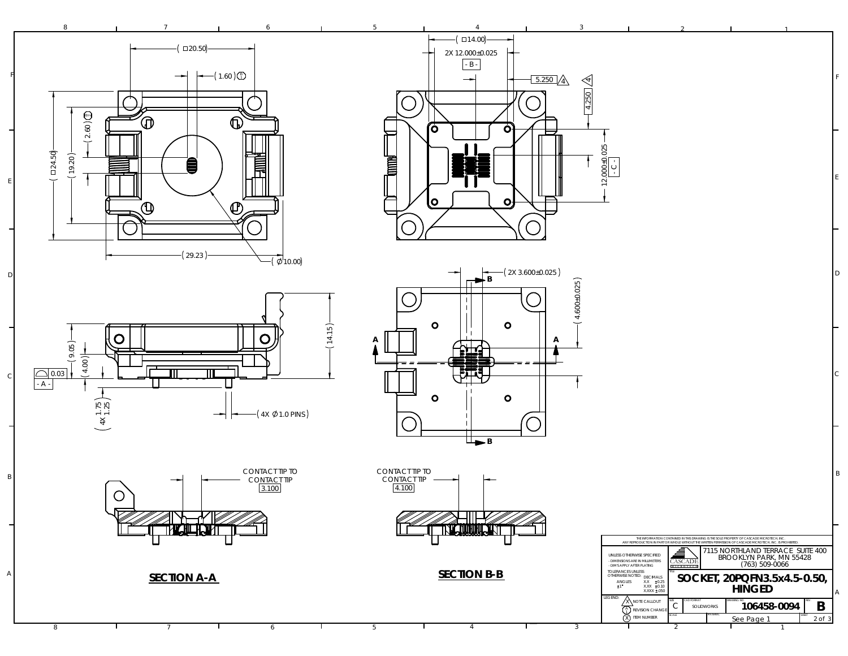